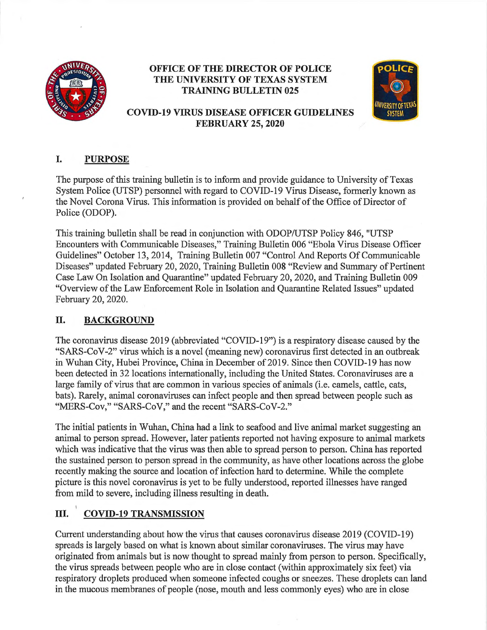

## **OFFICE OF THE DIRECTOR OF POLICE THE UNIVERSITY OF TEXAS SYSTEM TRAINING BULLETIN 025**



# **COVID-19 VIRUS DISEASE OFFICER GUIDELINES FEBRUARY 25, 2020**

## **I. PURPOSE**

The purpose of this training bulletin is to inform and provide guidance to University of Texas System Police (UTSP) personnel with regard to COVID-19 Virus Disease, formerly known as the Novel Corona Virus. This information is provided on behalf of the Office of Director of Police (ODOP).

This training bulletin shall be read in conjunction with ODOP/UTSP Policy 846, "UTSP Encounters with Communicable Diseases," Training Bulletin 006 "Ebola Virus Disease Officer Guidelines" October 13, 2014, Training Bulletin 007 "Control And Reports Of Communicable Diseases" updated February 20, 2020, Training Bulletin 008 "Review and Summary of Pertinent Case Law On Isolation and Quarantine" updated February 20, 2020, and Training Bulletin 009 "Overview of the Law Enforcement Role in Isolation and Quarantine Related Issues" updated February 20, 2020.

# **II. BACKGROUND**

The coronavirus disease 2019 (abbreviated "COVID-19") is a respiratory disease caused by the "SARS-CoV-2" virus which is a novel (meaning new) coronavirus first detected in an outbreak in Wuhan City, Hubei Province, China in December of 2019. Since then COVID-19 has now been detected in 32 locations internationally, including the United States. Coronaviruses are a large family of virus that are common in various species of animals (i.e. camels, cattle, cats, bats). Rarely, animal coronaviruses can infect people and then spread between people such as "MERS-Cov," "SARS-CoV," and the recent "SARS-CoV-2."

The initial patients in Wuhan, China had a link to seafood and live animal market suggesting an animal to person spread. However, later patients reported not having exposure to animal markets which was indicative that the virus was then able to spread person to person. China has reported the sustained person to person spread in the community, as have other locations across the globe recently making the source and location of infection hard to determine. While the complete picture is this novel coronavirus is yet to be fully understood, reported illnesses have ranged from mild to severe, including illness resulting in death.

# **III. COVID-19 TRANSMISSION**

Current understanding about how the virus that causes coronavirus disease 2019 (COVID-19) spreads is largely based on what is known about similar coronaviruses. The virus may have originated from animals but is now thought to spread mainly from person to person. Specifically, the virus spreads between people who are in close contact (within approximately six feet) via respiratory droplets produced when someone infected coughs or sneezes. These droplets can land in the mucous membranes of people (nose, mouth and less commonly eyes) who are in close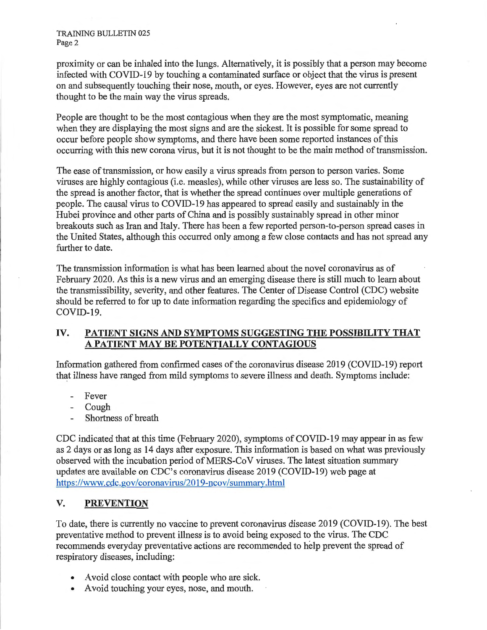TRAINING BULLETIN 025 Page 2

proximity or can be inhaled into the lungs. Alternatively, it is possibly that a person may become infected with COVID-19 by touching a contaminated surface or object that the virus is present on and subsequently touching their nose, mouth, or eyes. However, eyes are not currently thought to be the main way the virus spreads.

People are thought to be the most contagious when they are the most symptomatic, meaning when they are displaying the most signs and are the sickest. It is possible for some spread to occur before people show symptoms, and there have been some reported instances of this occurring with this new corona virus, but it is not thought to be the main method of transmission.

The ease of transmission, or how easily a virus spreads from person to person varies. Some viruses are highly contagious (i.e. measles), while other viruses are less so. The sustainability of the spread is another factor, that is whether the spread continues over multiple generations of people. The causal virus to COVID-19 has appeared to spread easily and sustainably in the Hubei province and other parts of China and is possibly sustainably spread in other minor breakouts such as Iran and Italy. There has been a few reported person-to-person spread cases in the United States, although this occurred only among a few close contacts and has not spread any further to date.

The transmission information is what has been learned about the novel coronavirus as of February 2020. As this is a new virus and an emerging disease there is still much to learn about the transmissibility, severity, and other features. The Center of Disease Control (CDC) website should be referred to for up to date information regarding the specifics and epidemiology of COVID-19.

#### **IV. PATIENT SIGNS AND SYMPTOMS SUGGESTING THE POSSIBILITY THAT A PATIENT MAY BE POTENTIALLY CONTAGIOUS**

Information gathered from confirmed cases of the coronavirus disease 2019 (COVID-19) report that illness have ranged from mild symptoms to severe illness and death. Symptoms include:

- Fever  $\mathcal{L}^{\text{max}}$
- Cough
- Shortness of breath

CDC indicated that at this time (February 2020), symptoms of COVID-19 may appear in as few as 2 days or as long as 14 days after exposure. This information is based on what was previously observed with the incubation period of MERS-Co V viruses. The latest situation summary updates are available on CDC's coronavirus disease 2019 (COVID-19) web page at https://www.cdc.gov/coronavirus/2019-ncov/summary.html

### **V. PREVENTION**

To date, there is currently no vaccine to prevent coronavirus disease 2019 (COVID-19). The best preventative method to prevent illness is to avoid being exposed to the virus. The CDC recommends everyday preventative actions are recommended to help prevent the spread of respiratory diseases, including:

- Avoid close contact with people who are sick.
- A void touching your eyes, nose, and mouth.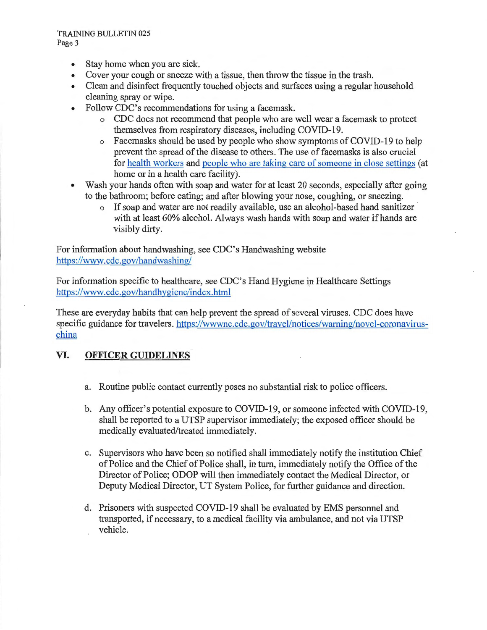- Stay home when you are sick.
- Cover your cough or sneeze with a tissue, then throw the tissue in the trash.
- Clean and disinfect frequently touched objects and surfaces using a regular household cleaning spray or wipe.
- Follow CDC's recommendations for using a facemask.
	- o CDC does not recommend that people who are well wear a facemask to protect themselves from respiratory diseases, including COVID-19.
	- o Facemasks should be used by people who show symptoms of COVID-19 to help prevent the spread of the disease to others. The use of facemasks is also crucial for health workers and people who are taking care of someone in close settings ( at home or in a health care facility).
- Wash your hands often with soap and water for at least 20 seconds, especially after going to the bathroom; before eating; and after blowing your nose, coughing, or sneezing.
	- o If soap and water are not readily available, use an alcohol-based hand sanitizer with at least 60% alcohol. Always wash hands with soap and water if hands are visibly dirty.

For information about handwashing, see CDC's Handwashing website https://www.cdc.gov/handwashing/

For information specific to healthcare, see CDC's Hand Hygiene in Healthcare Settings https://www.cdc.gov/handhygiene/index.html

These are everyday habits that can help prevent the spread of several viruses. CDC does have specific guidance for travelers. https://wwwnc.cdc.gov/travel/notices/warning/novel-coronaviruschina

## **VI. OFFICER GUIDELINES**

- a. Routine public contact cunently poses no substantial risk to police officers.
- b. Any officer's potential exposure to COVID-19, or someone infected with COVID-19, shall be reported to a UTSP supervisor immediately; the exposed officer should be medically evaluated/treated immediately.
- c. Supervisors who have been so notified shall immediately notify the institution Chief of Police and the Chief of Police shall, in turn, immediately notify the Office of the Director of Police; ODOP will then immediately contact the Medical Director, or Deputy Medical Director, UT System Police, for further guidance and direction.
- d. Prisoners with suspected COVID-19 shall be evaluated by EMS personnel and transported, if necessary, to a medical facility via ambulance, and not via UTSP vehicle.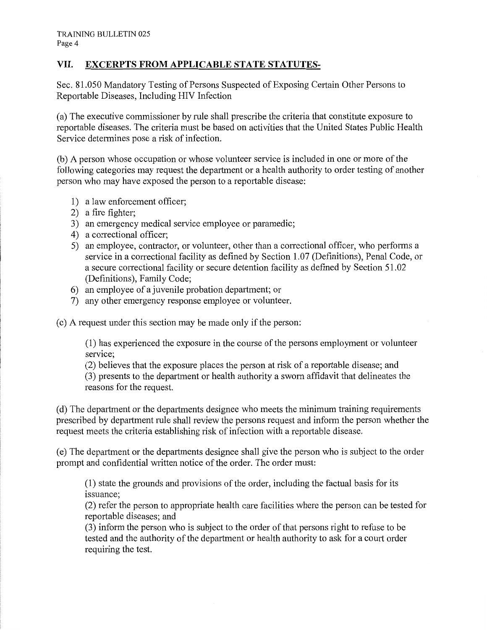### **VII. EXCERPTS FROM APPLICABLE STATE STATUTES-**

Sec. 81.050 Mandatory Testing of Persons Suspected of Exposing Certain Other Persons to Reportable Diseases, Including HIV Infection

(a) The executive commissioner by rule shall prescribe the criteria that constitute exposure to reportable diseases. The criteria must be based on activities that the United States Public Health Service determines pose a risk of infection.

(b) A person whose occupation or whose volunteer service is included in one or more of the following categories may request the department or a health authority to order testing of another person who may have exposed the person to a reportable disease:

- 1) a law enforcement officer;
- 2) a fire fighter;
- 3) an emergency medical service employee or paramedic;
- 4) a correctional officer;
- 5) an employee, contractor, or volunteer, other than a correctional officer, who performs a service in a correctional facility as defined by Section 1.07 (Definitions), Penal Code, or a secure correctional facility or secure detention facility as defined by Section 51. 02 (Definitions), Family Code;
- 6) an employee of a juvenile probation depmiment; or
- 7) any other emergency response employee or volunteer.

( c) A request under this section may be made only if the person:

(1) has experienced the exposure in the course of the persons employment or volunteer service;

(2) believes that the exposure places the person at risk of a reportable disease; and

(3) presents to the department or health authority a sworn affidavit that delineates the reasons for the request.

(d) The department or the departments designee who meets the minimum training requirements prescribed by department rule shall review the persons request and inform the person whether the request meets the criteria establishing risk of infection with a reportable disease.

(e) The department or the departments designee shall give the person who is subject to the order prompt and confidential written notice of the order. The order must:

(1) state the grounds and provisions of the order, including the factual basis for its issuance;

(2) refer the person to appropriate health care facilities where the person can be tested for reportable diseases; and

(3) inform the person who is subject to the order of that persons right to refuse to be tested and the authority of the department or health authority to ask for a court order requiring the test.